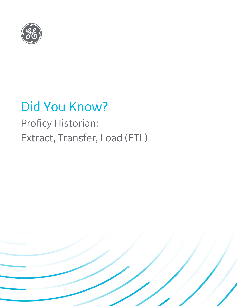

# Did You Know?

## Proficy Historian: Extract, Transfer, Load (ETL)

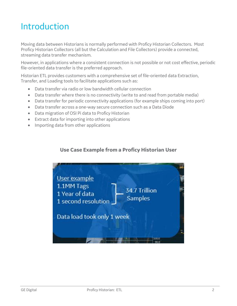### Introduction

Moving data between Historians is normally performed with Proficy Historian Collectors. Most Proficy Historian Collectors (all but the Calculation and File Collectors) provide a connected, streaming data transfer mechanism.

However, in applications where a consistent connection is not possible or not cost effective, periodic file-oriented data transfer is the preferred approach.

Historian ETL provides customers with a comprehensive set of file-oriented data Extraction, Transfer, and Loading tools to facilitate applications such as:

- Data transfer via radio or low bandwidth cellular connection
- Data transfer where there is no connectivity (write to and read from portable media)
- Data transfer for periodic connectivity applications (for example ships coming into port)
- Data transfer across a one-way secure connection such as a Data Diode
- Data migration of OSI Pi data to Proficy Historian
- Extract data for importing into other applications
- Importing data from other applications

#### **Use Case Example from a Proficy Historian User**

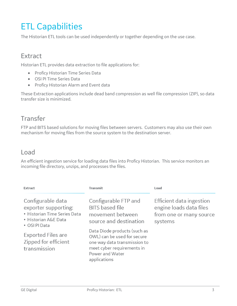## ETL Capabilities

The Historian ETL tools can be used independently or together depending on the use case.

### **Extract**

Historian ETL provides data extraction to file applications for:

- Proficy Historian Time Series Data
- OSI PI Time Series Data
- Proficy Historian Alarm and Event data

These Extraction applications include dead band compression as well file compression (ZIP), so data transfer size is minimized.

### Transfer

FTP and BITS based solutions for moving files between servers. Customers may also use their own mechanism for moving files from the source system to the destination server.

### Load

An efficient ingestion service for loading data files into Proficy Historian. This service monitors an incoming file directory, unzips, and processes the files.

| Extract                                                                                                            | <b>Transmit</b>                                                                                                                                              | Load                                                                                      |
|--------------------------------------------------------------------------------------------------------------------|--------------------------------------------------------------------------------------------------------------------------------------------------------------|-------------------------------------------------------------------------------------------|
| Configurable data<br>exporter supporting:<br>• Historian Time Series Data<br>• Historian A&E Data<br>• OSI PI Data | Configurable FTP and<br><b>BITS</b> based file<br>movement between<br>source and destination                                                                 | Efficient data ingestion<br>engine loads data files<br>from one or many source<br>systems |
| <b>Exported Files are</b><br>Zipped for efficient<br>transmission                                                  | Data Diode products (such as<br>OWL) can be used for secure<br>one way data transmission to<br>meet cyber requirements in<br>Power and Water<br>applications |                                                                                           |